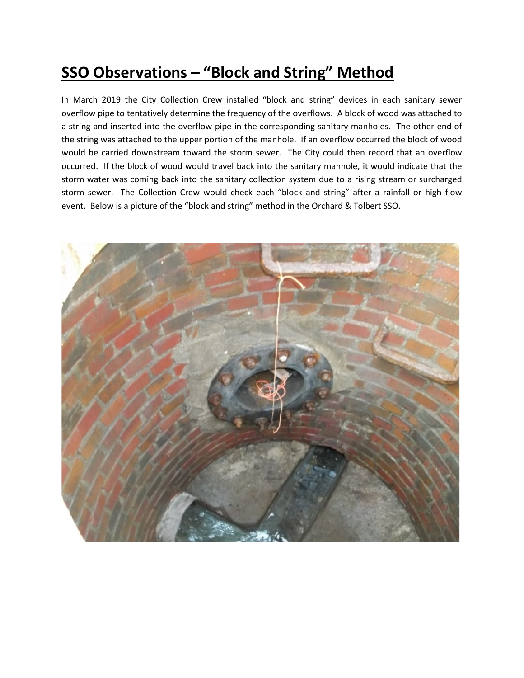## **SSO Observations – "Block and String" Method**

In March 2019 the City Collection Crew installed "block and string" devices in each sanitary sewer overflow pipe to tentatively determine the frequency of the overflows. A block of wood was attached to a string and inserted into the overflow pipe in the corresponding sanitary manholes. The other end of the string was attached to the upper portion of the manhole. If an overflow occurred the block of wood would be carried downstream toward the storm sewer. The City could then record that an overflow occurred. If the block of wood would travel back into the sanitary manhole, it would indicate that the storm water was coming back into the sanitary collection system due to a rising stream or surcharged storm sewer. The Collection Crew would check each "block and string" after a rainfall or high flow event. Below is a picture of the "block and string" method in the Orchard & Tolbert SSO.

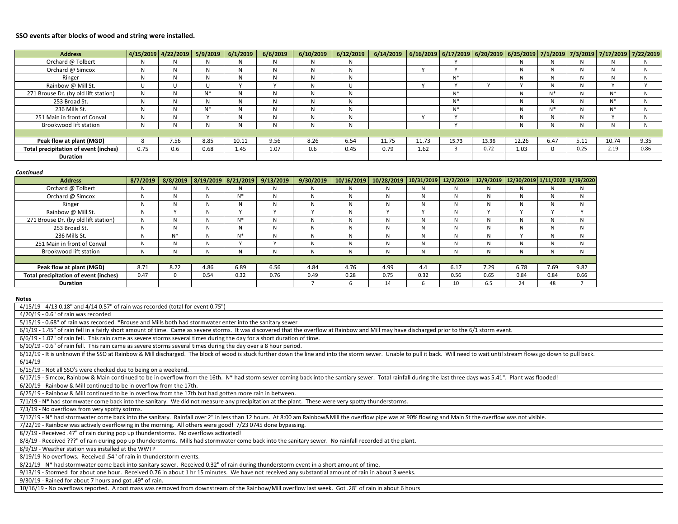## **SSO events after blocks of wood and string were installed.**

| <b>Address</b>                        |      | 4/15/2019 4/22/2019 5/9/2019 |       | 6/1/2019 | 6/6/2019 | 6/10/2019 | 6/12/2019 | 6/14/2019 | 6/16/2019   6/17/2019   6/20/2019   6/25/2019   7/1/2019   7/3/2019   7/17/2019   7/22/2019 |       |       |       |              |      |       |              |
|---------------------------------------|------|------------------------------|-------|----------|----------|-----------|-----------|-----------|---------------------------------------------------------------------------------------------|-------|-------|-------|--------------|------|-------|--------------|
| Orchard @ Tolbert                     |      |                              | N     | N        | и        |           |           |           |                                                                                             |       |       |       | N            |      |       |              |
| Orchard @ Simcox                      | N    |                              | N     | N        | N        | N         | и         |           |                                                                                             |       |       |       | N            |      | N     |              |
| Ringer                                | N    |                              | N     | N        | N        | N         | N         |           |                                                                                             | N*    |       | N     | N            | N    | N     |              |
| Rainbow @ Mill St.                    |      |                              | U     |          |          | N         | U         |           |                                                                                             |       |       |       | N            | N    |       |              |
| 271 Brouse Dr. (by old lift station)  | N    |                              | $N^*$ | N        | N        | N         | N         |           |                                                                                             | N*    |       | N     | $N^*$        |      | $N^*$ | N            |
| 253 Broad St.                         | N    |                              | N     | N        | N        | N         | N         |           |                                                                                             | N*    |       | N     | N            |      | $N^*$ |              |
| 236 Mills St.                         |      |                              | $N^*$ | N        | N        | N         | N         |           |                                                                                             | $N^*$ |       | N     | $N^*$        |      | $N^*$ |              |
| 251 Main in front of Conval           |      |                              |       | N        | N        | N         | N         |           |                                                                                             |       |       | N     | N            |      |       | $\mathbf{M}$ |
| Brookwood lift station                |      |                              | N     | N        | N        | N         |           |           |                                                                                             |       |       | N     | N            |      | N     |              |
|                                       |      |                              |       |          |          |           |           |           |                                                                                             |       |       |       |              |      |       |              |
| Peak flow at plant (MGD)              |      | 7.56                         | 8.85  | 10.11    | 9.56     | 8.26      | 6.54      | 11.75     | 11.73                                                                                       | 15.73 | 13.36 | 12.26 | 6.47         | 5.11 | 10.74 | 9.35         |
| Total precipitation of event (inches) | 0.75 | 0.6                          | 0.68  | 1.45     | 1.07     | 0.6       | 0.45      | 0.79      | 1.62                                                                                        |       | 0.72  | 1.03  | $\mathbf{0}$ | 0.25 | 2.19  | 0.86         |
| <b>Duration</b>                       |      |                              |       |          |          |           |           |           |                                                                                             |       |       |       |              |      |       |              |

## *Continued*

| <b>Address</b>                               | 8/7/2019 | 8/8/2019     | 8/19/2019 8/21/2019 |       | 9/13/2019 | 9/30/2019 | 10/16/2019 | 10/28/2019 | 10/31/2019 | 12/2/2019    |      | 12/9/2019   12/30/2019   1/11/2020   1/19/2020 |      |      |
|----------------------------------------------|----------|--------------|---------------------|-------|-----------|-----------|------------|------------|------------|--------------|------|------------------------------------------------|------|------|
| Orchard @ Tolbert                            | N        | N            | N                   |       | N         | N         | N          | N          | N          | N            | N    |                                                | N    | N    |
| Orchard @ Simcox                             | N        | $\mathsf{N}$ | N                   | $N^*$ | N         | N         | N          | N          | N          | N            | N    |                                                | N    | N    |
| Ringer                                       | N        | $\mathsf{N}$ | N                   |       | N         | N         | N          | N          | N          | $\mathsf{N}$ | N    |                                                | N    | N    |
| Rainbow @ Mill St.                           | N        |              | N                   |       |           |           | N          |            |            | N            |      |                                                |      |      |
| 271 Brouse Dr. (by old lift station)         | N        | $\mathsf{N}$ | N                   | $N^*$ | N         | N         | N          | N          | N          | N            | N    |                                                | N    | N    |
| 253 Broad St.                                | N        | $\mathsf{N}$ | N                   | A1    | N         | N         | N          | N          | N          | $\mathsf{N}$ | N    |                                                | N    | N    |
| 236 Mills St.                                | N        | $N^*$        | N                   | $N^*$ | N         | N         | N          | N          | N          | N            | N    |                                                | N    | N    |
| 251 Main in front of Conval                  | N        | $\mathsf{N}$ | N                   |       |           | N         | N          | N          | N          | N            | N    |                                                | N    | N    |
| Brookwood lift station                       | Ν        | N            | N                   |       | N         | N         | N          | N          | N          | Ν            | N    |                                                | N    | N    |
|                                              |          |              |                     |       |           |           |            |            |            |              |      |                                                |      |      |
| Peak flow at plant (MGD)                     | 8.71     | 8.22         | 4.86                | 6.89  | 6.56      | 4.84      | 4.76       | 4.99       | 4.4        | 6.17         | 7.29 | 6.78                                           | 7.69 | 9.82 |
| <b>Total precipitation of event (inches)</b> | 0.47     | 0            | 0.54                | 0.32  | 0.76      | 0.49      | 0.28       | 0.75       | 0.32       | 0.56         | 0.65 | 0.84                                           | 0.84 | 0.66 |
| <b>Duration</b>                              |          |              |                     |       |           |           |            | 14         | b          | 10           | 6.5  | 24                                             | 48   |      |

## **Notes**

| 4/15/19 - 4/13 0.18" and 4/14 0.57" of rain was recorded (total for event 0.75")                                                                                                                                               |
|--------------------------------------------------------------------------------------------------------------------------------------------------------------------------------------------------------------------------------|
| $4/20/19$ - 0.6" of rain was recorded                                                                                                                                                                                          |
| 5/15/19 - 0.68" of rain was recorded. *Brouse and Mills both had stormwater enter into the sanitary sewer                                                                                                                      |
| 6/1/19 - 1.45" of rain fell in a fairly short amount of time. Came as severe storms. It was discovered that the overflow at Rainbow and Mill may have discharged prior to the 6/1 storm event.                                 |
| 6/6/19 - 1.07" of rain fell. This rain came as severe storms several times during the day for a short duration of time.                                                                                                        |
| 6/10/19 - 0.6" of rain fell. This rain came as severe storms several times during the day over a 8 hour period.                                                                                                                |
| 6/12/19 - It is unknown if the SSO at Rainbow & Mill discharged. The block of wood is stuck further down the line and into the storm sewer. Unable to pull it back. Will need to wait until stream flows go down to pull back. |
| $6/14/19$ -                                                                                                                                                                                                                    |
| 6/15/19 - Not all SSO's were checked due to being on a weekend.                                                                                                                                                                |
| 6/17/19 - Simcox, Rainbow & Main continued to be in overflow from the 16th. N* had storm sewer coming back into the santiary sewer. Total rainfall during the last three days was 5.41". Plant was flooded!                    |
| 6/20/19 - Rainbow & Mill continued to be in overflow from the 17th.                                                                                                                                                            |
| 6/25/19 - Rainbow & Mill continued to be in overflow from the 17th but had gotten more rain in between.                                                                                                                        |
| 7/1/19 - N* had stormwater come back into the sanitary. We did not measure any precipitation at the plant. These were very spotty thunderstorms.                                                                               |
| 7/3/19 - No overflows from very spotty sotrms.                                                                                                                                                                                 |
| 7/17/19 - N* had stormwater come back into the sanitary. Rainfall over 2" in less than 12 hours. At 8:00 am Rainbow&Mill the overflow pipe was at 90% flowing and Main St the overflow was not visible.                        |
| 7/22/19 - Rainbow was actively overflowing in the morning. All others were good! 7/23 0745 done bypassing.                                                                                                                     |
| 8/7/19 - Received .47" of rain during pop up thunderstorms. No overflows activated!                                                                                                                                            |
| 8/8/19 - Received ???" of rain during pop up thunderstorms. Mills had stormwater come back into the sanitary sewer. No rainfall recorded at the plant.                                                                         |
| 8/9/19 - Weather station was installed at the WWTP                                                                                                                                                                             |
| 8/19/19-No overflows. Received .54" of rain in thunderstorm events.                                                                                                                                                            |
| 8/21/19 - N* had stormwater come back into sanitary sewer. Received 0.32" of rain during thunderstorm event in a short amount of time.                                                                                         |
| 9/13/19 - Stormed for about one hour. Received 0.76 in about 1 hr 15 minutes. We have not received any substantial amount of rain in about 3 weeks.                                                                            |
| 9/30/19 - Rained for about 7 hours and got .49" of rain.                                                                                                                                                                       |
| 10/16/19 - No overflows reported. A root mass was removed from downstream of the Rainbow/Mill overflow last week. Got .28" of rain in about 6 hours                                                                            |